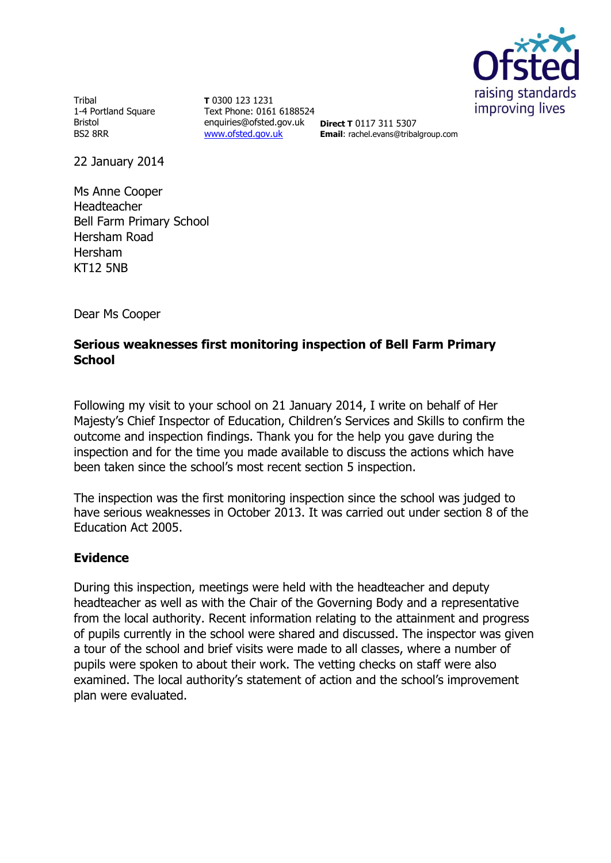

**Tribal** 1-4 Portland Square Bristol BS2 8RR

**T** 0300 123 1231 Text Phone: 0161 6188524 enquiries@ofsted.gov.uk **Direct T** 0117 311 5307 [www.ofsted.gov.uk](http://www.ofsted.gov.uk/)

**Email**: rachel.evans@tribalgroup.com

22 January 2014

Ms Anne Cooper Headteacher Bell Farm Primary School Hersham Road Hersham KT12 5NB

Dear Ms Cooper

## **Serious weaknesses first monitoring inspection of Bell Farm Primary School**

Following my visit to your school on 21 January 2014, I write on behalf of Her Majesty's Chief Inspector of Education, Children's Services and Skills to confirm the outcome and inspection findings. Thank you for the help you gave during the inspection and for the time you made available to discuss the actions which have been taken since the school's most recent section 5 inspection.

The inspection was the first monitoring inspection since the school was judged to have serious weaknesses in October 2013. It was carried out under section 8 of the Education Act 2005.

## **Evidence**

During this inspection, meetings were held with the headteacher and deputy headteacher as well as with the Chair of the Governing Body and a representative from the local authority. Recent information relating to the attainment and progress of pupils currently in the school were shared and discussed. The inspector was given a tour of the school and brief visits were made to all classes, where a number of pupils were spoken to about their work. The vetting checks on staff were also examined. The local authority's statement of action and the school's improvement plan were evaluated.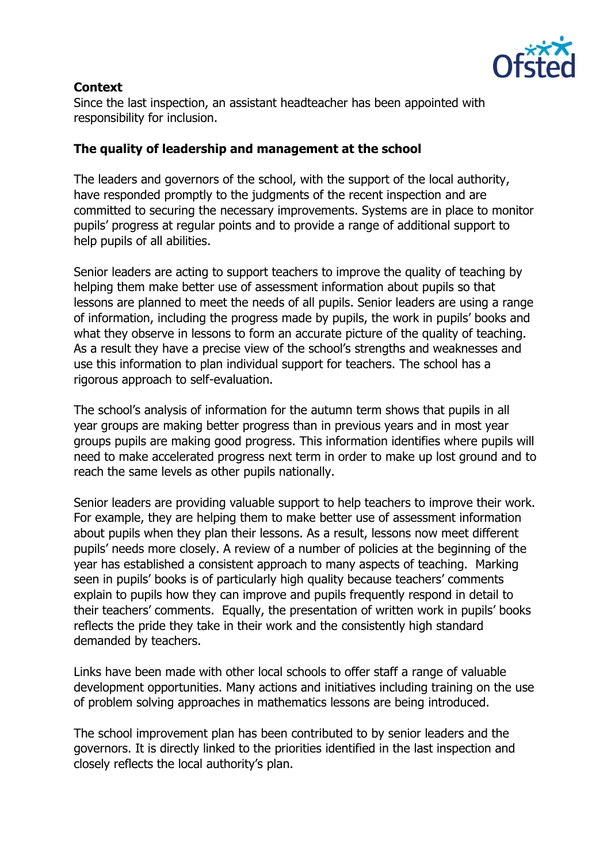

## **Context**

Since the last inspection, an assistant headteacher has been appointed with responsibility for inclusion.

## **The quality of leadership and management at the school**

The leaders and governors of the school, with the support of the local authority, have responded promptly to the judgments of the recent inspection and are committed to securing the necessary improvements. Systems are in place to monitor pupils' progress at regular points and to provide a range of additional support to help pupils of all abilities.

Senior leaders are acting to support teachers to improve the quality of teaching by helping them make better use of assessment information about pupils so that lessons are planned to meet the needs of all pupils. Senior leaders are using a range of information, including the progress made by pupils, the work in pupils' books and what they observe in lessons to form an accurate picture of the quality of teaching. As a result they have a precise view of the school's strengths and weaknesses and use this information to plan individual support for teachers. The school has a rigorous approach to self-evaluation.

The school's analysis of information for the autumn term shows that pupils in all year groups are making better progress than in previous years and in most year groups pupils are making good progress. This information identifies where pupils will need to make accelerated progress next term in order to make up lost ground and to reach the same levels as other pupils nationally.

Senior leaders are providing valuable support to help teachers to improve their work. For example, they are helping them to make better use of assessment information about pupils when they plan their lessons. As a result, lessons now meet different pupils' needs more closely. A review of a number of policies at the beginning of the year has established a consistent approach to many aspects of teaching. Marking seen in pupils' books is of particularly high quality because teachers' comments explain to pupils how they can improve and pupils frequently respond in detail to their teachers' comments. Equally, the presentation of written work in pupils' books reflects the pride they take in their work and the consistently high standard demanded by teachers.

Links have been made with other local schools to offer staff a range of valuable development opportunities. Many actions and initiatives including training on the use of problem solving approaches in mathematics lessons are being introduced.

The school improvement plan has been contributed to by senior leaders and the governors. It is directly linked to the priorities identified in the last inspection and closely reflects the local authority's plan.